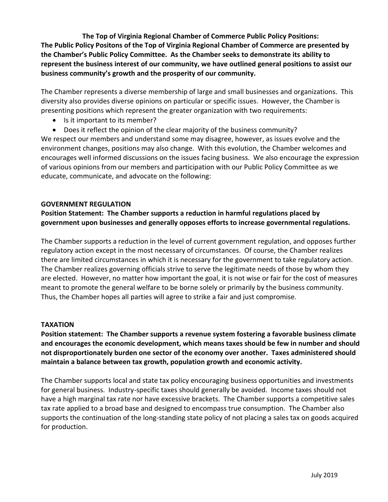**The Top of Virginia Regional Chamber of Commerce Public Policy Positions: The Public Policy Positons of the Top of Virginia Regional Chamber of Commerce are presented by the Chamber's Public Policy Committee. As the Chamber seeks to demonstrate its ability to represent the business interest of our community, we have outlined general positions to assist our business community's growth and the prosperity of our community.**

The Chamber represents a diverse membership of large and small businesses and organizations. This diversity also provides diverse opinions on particular or specific issues. However, the Chamber is presenting positions which represent the greater organization with two requirements:

- Is it important to its member?
- Does it reflect the opinion of the clear majority of the business community?

We respect our members and understand some may disagree, however, as issues evolve and the environment changes, positions may also change. With this evolution, the Chamber welcomes and encourages well informed discussions on the issues facing business. We also encourage the expression of various opinions from our members and participation with our Public Policy Committee as we educate, communicate, and advocate on the following:

### **GOVERNMENT REGULATION**

# **Position Statement: The Chamber supports a reduction in harmful regulations placed by government upon businesses and generally opposes efforts to increase governmental regulations.**

The Chamber supports a reduction in the level of current government regulation, and opposes further regulatory action except in the most necessary of circumstances. Of course, the Chamber realizes there are limited circumstances in which it is necessary for the government to take regulatory action. The Chamber realizes governing officials strive to serve the legitimate needs of those by whom they are elected. However, no matter how important the goal, it is not wise or fair for the cost of measures meant to promote the general welfare to be borne solely or primarily by the business community. Thus, the Chamber hopes all parties will agree to strike a fair and just compromise.

### **TAXATION**

**Position statement: The Chamber supports a revenue system fostering a favorable business climate and encourages the economic development, which means taxes should be few in number and should not disproportionately burden one sector of the economy over another. Taxes administered should maintain a balance between tax growth, population growth and economic activity.**

The Chamber supports local and state tax policy encouraging business opportunities and investments for general business. Industry-specific taxes should generally be avoided. Income taxes should not have a high marginal tax rate nor have excessive brackets. The Chamber supports a competitive sales tax rate applied to a broad base and designed to encompass true consumption. The Chamber also supports the continuation of the long-standing state policy of not placing a sales tax on goods acquired for production.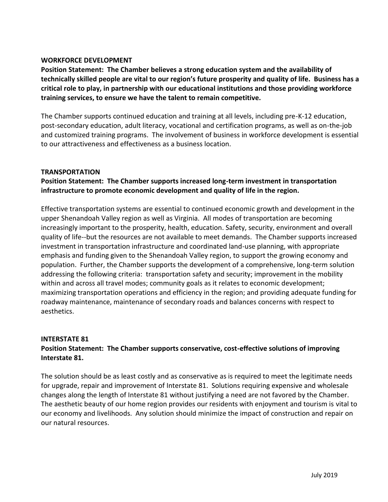### **WORKFORCE DEVELOPMENT**

**Position Statement: The Chamber believes a strong education system and the availability of technically skilled people are vital to our region's future prosperity and quality of life. Business has a critical role to play, in partnership with our educational institutions and those providing workforce training services, to ensure we have the talent to remain competitive.**

The Chamber supports continued education and training at all levels, including pre-K-12 education, post-secondary education, adult literacy, vocational and certification programs, as well as on-the-job and customized training programs. The involvement of business in workforce development is essential to our attractiveness and effectiveness as a business location.

### **TRANSPORTATION**

## **Position Statement: The Chamber supports increased long-term investment in transportation infrastructure to promote economic development and quality of life in the region.**

Effective transportation systems are essential to continued economic growth and development in the upper Shenandoah Valley region as well as Virginia. All modes of transportation are becoming increasingly important to the prosperity, health, education. Safety, security, environment and overall quality of life--but the resources are not available to meet demands. The Chamber supports increased investment in transportation infrastructure and coordinated land-use planning, with appropriate emphasis and funding given to the Shenandoah Valley region, to support the growing economy and population. Further, the Chamber supports the development of a comprehensive, long-term solution addressing the following criteria: transportation safety and security; improvement in the mobility within and across all travel modes; community goals as it relates to economic development; maximizing transportation operations and efficiency in the region; and providing adequate funding for roadway maintenance, maintenance of secondary roads and balances concerns with respect to aesthetics.

### **INTERSTATE 81**

## **Position Statement: The Chamber supports conservative, cost-effective solutions of improving Interstate 81.**

The solution should be as least costly and as conservative as is required to meet the legitimate needs for upgrade, repair and improvement of Interstate 81. Solutions requiring expensive and wholesale changes along the length of Interstate 81 without justifying a need are not favored by the Chamber. The aesthetic beauty of our home region provides our residents with enjoyment and tourism is vital to our economy and livelihoods. Any solution should minimize the impact of construction and repair on our natural resources.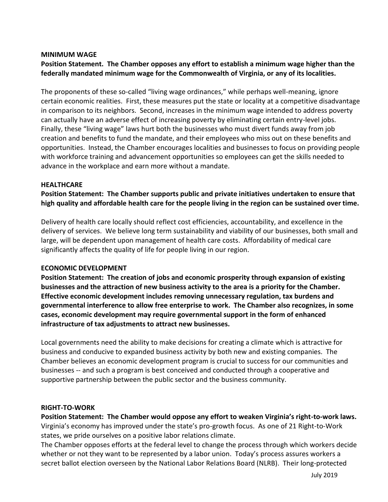#### **MINIMUM WAGE**

**Position Statement. The Chamber opposes any effort to establish a minimum wage higher than the federally mandated minimum wage for the Commonwealth of Virginia, or any of its localities.**

The proponents of these so-called "living wage ordinances," while perhaps well-meaning, ignore certain economic realities. First, these measures put the state or locality at a competitive disadvantage in comparison to its neighbors. Second, increases in the minimum wage intended to address poverty can actually have an adverse effect of increasing poverty by eliminating certain entry-level jobs. Finally, these "living wage" laws hurt both the businesses who must divert funds away from job creation and benefits to fund the mandate, and their employees who miss out on these benefits and opportunities. Instead, the Chamber encourages localities and businesses to focus on providing people with workforce training and advancement opportunities so employees can get the skills needed to advance in the workplace and earn more without a mandate.

#### **HEALTHCARE**

**Position Statement: The Chamber supports public and private initiatives undertaken to ensure that high quality and affordable health care for the people living in the region can be sustained over time.**

Delivery of health care locally should reflect cost efficiencies, accountability, and excellence in the delivery of services. We believe long term sustainability and viability of our businesses, both small and large, will be dependent upon management of health care costs. Affordability of medical care significantly affects the quality of life for people living in our region.

### **ECONOMIC DEVELOPMENT**

**Position Statement: The creation of jobs and economic prosperity through expansion of existing businesses and the attraction of new business activity to the area is a priority for the Chamber. Effective economic development includes removing unnecessary regulation, tax burdens and governmental interference to allow free enterprise to work. The Chamber also recognizes, in some cases, economic development may require governmental support in the form of enhanced infrastructure of tax adjustments to attract new businesses.**

Local governments need the ability to make decisions for creating a climate which is attractive for business and conducive to expanded business activity by both new and existing companies. The Chamber believes an economic development program is crucial to success for our communities and businesses -- and such a program is best conceived and conducted through a cooperative and supportive partnership between the public sector and the business community.

### **RIGHT-TO-WORK**

**Position Statement: The Chamber would oppose any effort to weaken Virginia's right-to-work laws.** Virginia's economy has improved under the state's pro-growth focus. As one of 21 Right-to-Work states, we pride ourselves on a positive labor relations climate.

The Chamber opposes efforts at the federal level to change the process through which workers decide whether or not they want to be represented by a labor union. Today's process assures workers a secret ballot election overseen by the National Labor Relations Board (NLRB). Their long-protected